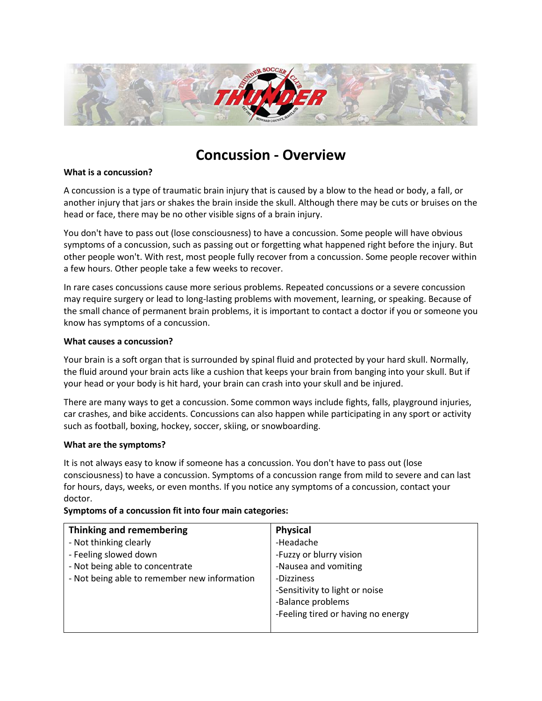

# **Concussion - Overview**

#### **What is a concussion?**

A [concussion](http://www.webmd.com/hw-popup/concussion-traumatic-brain-injury) is a type of traumatic [brain](http://www.webmd.com/brain/picture-of-the-brain) injury that is caused by a blow to the head or body, a fall, or another injury that jars or shakes the brain inside the skull. Although there may be cuts or [bruises](http://www.webmd.com/skin-problems-and-treatments/guide/bruises-article) on the head or face, there may be no other visible signs of a brain injury.

You don't have to pass out (lose consciousness) to have a [concussion.](http://www.webmd.com/brain/concussion-traumatic-brain-injury-symptoms-causes-treatments) Some people will have obvious symptoms of a concussion, such as passing out or forgetting what happened right before the injury. But other people won't. With rest, most people fully recover from a concussion. Some people recover within a few hours. Other people take a few weeks to recover.

In rare cases concussions cause more serious problems. Repeated concussions or a severe concussion may require surgery or lead to long-lasting problems with movement, learning, or speaking. Because of the small chance of permanent brain problems, it is important to contact a doctor if you or someone you know has symptoms of a concussion.

### **What causes a concussion?**

Your brain is a soft organ that is surrounded by spinal fluid and protected by your hard skull. Normally, the fluid around your brain acts like a cushion that keeps your brain from banging into your skull. But if your head or your body is hit hard, your brain can crash into your skull and be injured.

There are many ways to get a concussion. Some common ways include fights, falls, [playground](http://www.webmd.com/parenting/tc/playground-safety-topic-overview) injuries, car crashes, and bike accidents. Concussions can also happen while participating in any sport or activity such as football, boxing, hockey, soccer, skiing, or snowboarding.

#### **What are the symptoms?**

It is not always easy to know if someone has a concussion. You don't have to pass out (lose consciousness) to have a concussion. Symptoms of a concussion range from mild to severe and can last for hours, days, weeks, or even months. If you notice any symptoms of a concussion, contact your doctor.

| <b>Physical</b>                    |
|------------------------------------|
| -Headache                          |
| -Fuzzy or blurry vision            |
| -Nausea and vomiting               |
| -Dizziness                         |
| -Sensitivity to light or noise     |
| -Balance problems                  |
| -Feeling tired or having no energy |
|                                    |

## **Symptoms of a concussion fit into four main categories:**